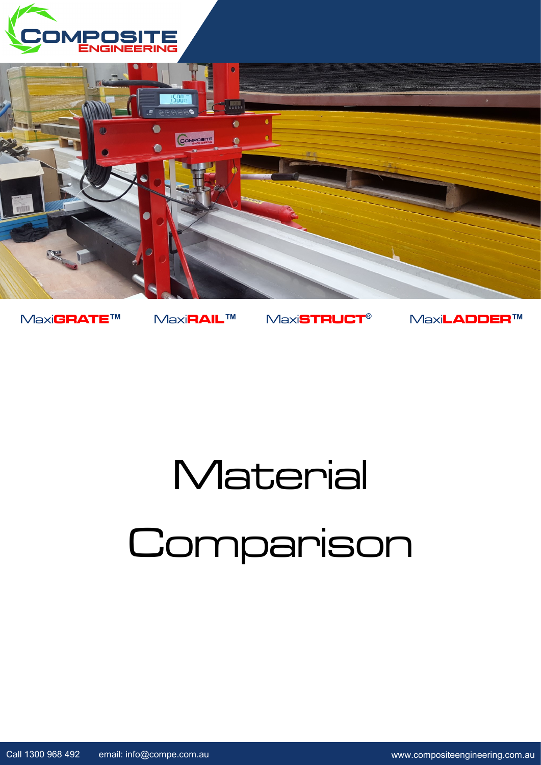



Maxi**GRATE™** Maxi**RAIL™** Maxi**STRUCT®** Maxi**LADDER™**

## **Material** Comparison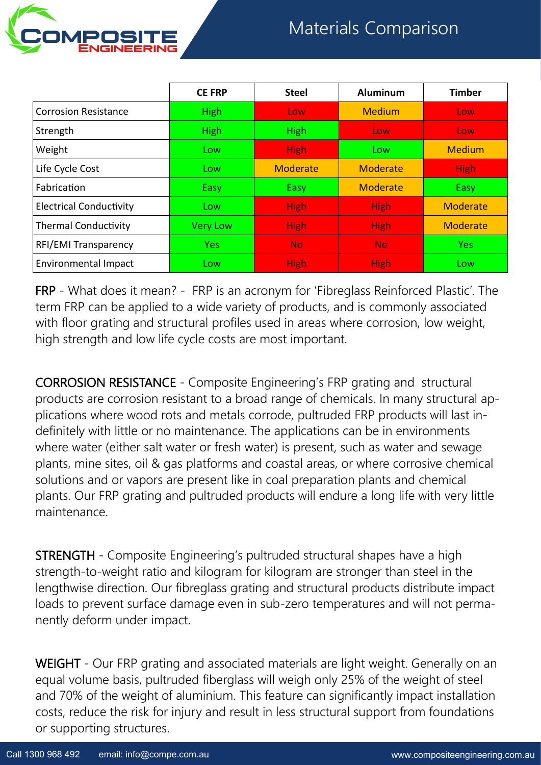



|                                | <b>CE FRP</b>   | <b>Steel</b>    | <b>Aluminum</b> | <b>Timber</b> |
|--------------------------------|-----------------|-----------------|-----------------|---------------|
| <b>Corrosion Resistance</b>    | <b>High</b>     | Low             | <b>Medium</b>   | Low           |
| Strength                       | <b>High</b>     | <b>High</b>     | Low             | Low           |
| Weight                         | Low             | <b>High</b>     | Low             | <b>Medium</b> |
| Life Cycle Cost                | Low             | <b>Moderate</b> | Moderate        | <b>High</b>   |
| Fabrication                    | Easy            | <b>Easy</b>     | <b>Moderate</b> | Easy          |
| <b>Electrical Conductivity</b> | Low             | <b>High</b>     | <b>High</b>     | Moderate      |
| <b>Thermal Conductivity</b>    | <b>Very Low</b> | <b>High</b>     | <b>High</b>     | Moderate      |
| <b>RFI/EMI Transparency</b>    | <b>Yes</b>      | <b>No</b>       | No.             | <b>Yes</b>    |
| <b>Environmental Impact</b>    | Low             | <b>High</b>     | <b>High</b>     | Low           |

FRP - What does it mean? - FRP is an acronym for 'Fibreglass Reinforced Plastic'. The term FRP can be applied to a wide variety of products, and is commonly associated with floor grating and structural profiles used in areas where corrosion, low weight, high strength and low life cycle costs are most important.

CORROSION RESISTANCE - Composite Engineering's FRP grating and structural products are corrosion resistant to a broad range of chemicals. In many structural applications where wood rots and metals corrode, pultruded FRP products will last indefinitely with little or no maintenance. The applications can be in environments where water (either salt water or fresh water) is present, such as water and sewage plants, mine sites, oil & gas platforms and coastal areas, or where corrosive chemical solutions and or vapors are present like in coal preparation plants and chemical plants. Our FRP grating and pultruded products will endure a long life with very little maintenance.

STRENGTH - Composite Engineering's pultruded structural shapes have a high strength-to-weight ratio and kilogram for kilogram are stronger than steel in the lengthwise direction. Our fibreglass grating and structural products distribute impact loads to prevent surface damage even in sub-zero temperatures and will not permanently deform under impact.

WEIGHT - Our FRP grating and associated materials are light weight. Generally on an equal volume basis, pultruded fiberglass will weigh only 25% of the weight of steel and 70% of the weight of aluminium. This feature can significantly impact installation costs, reduce the risk for injury and result in less structural support from foundations or supporting structures.